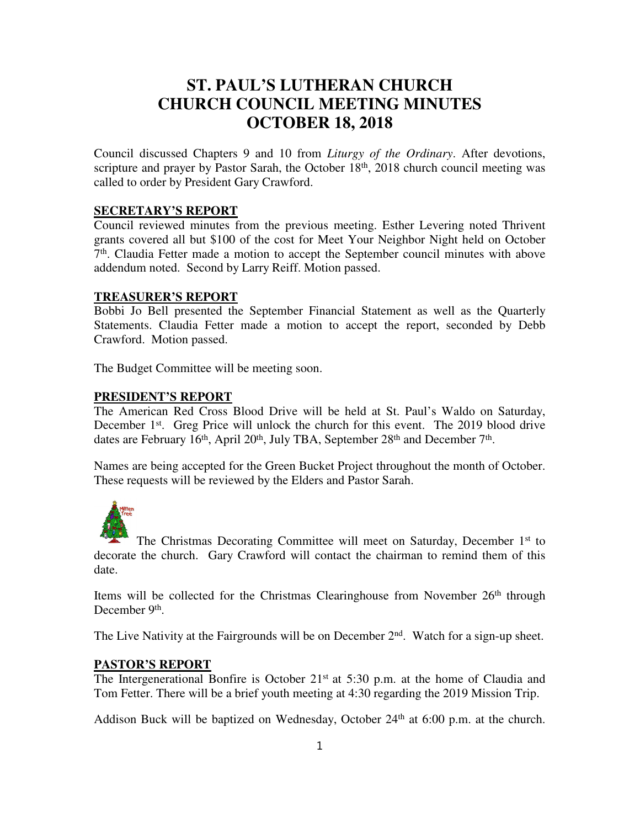# **ST. PAUL'S LUTHERAN CHURCH CHURCH COUNCIL MEETING MINUTES OCTOBER 18, 2018**

Council discussed Chapters 9 and 10 from *Liturgy of the Ordinary*. After devotions, scripture and prayer by Pastor Sarah, the October 18<sup>th</sup>, 2018 church council meeting was called to order by President Gary Crawford.

#### **SECRETARY'S REPORT**

Council reviewed minutes from the previous meeting. Esther Levering noted Thrivent grants covered all but \$100 of the cost for Meet Your Neighbor Night held on October 7 th. Claudia Fetter made a motion to accept the September council minutes with above addendum noted. Second by Larry Reiff. Motion passed.

#### **TREASURER'S REPORT**

Bobbi Jo Bell presented the September Financial Statement as well as the Quarterly Statements. Claudia Fetter made a motion to accept the report, seconded by Debb Crawford. Motion passed.

The Budget Committee will be meeting soon.

#### **PRESIDENT'S REPORT**

The American Red Cross Blood Drive will be held at St. Paul's Waldo on Saturday, December 1<sup>st</sup>. Greg Price will unlock the church for this event. The 2019 blood drive dates are February 16<sup>th</sup>, April 20<sup>th</sup>, July TBA, September 28<sup>th</sup> and December 7<sup>th</sup>.

Names are being accepted for the Green Bucket Project throughout the month of October. These requests will be reviewed by the Elders and Pastor Sarah.



The Christmas Decorating Committee will meet on Saturday, December 1<sup>st</sup> to decorate the church. Gary Crawford will contact the chairman to remind them of this date.

Items will be collected for the Christmas Clearinghouse from November 26<sup>th</sup> through December 9<sup>th</sup>.

The Live Nativity at the Fairgrounds will be on December 2<sup>nd</sup>. Watch for a sign-up sheet.

#### **PASTOR'S REPORT**

The Intergenerational Bonfire is October 21<sup>st</sup> at 5:30 p.m. at the home of Claudia and Tom Fetter. There will be a brief youth meeting at 4:30 regarding the 2019 Mission Trip.

Addison Buck will be baptized on Wednesday, October 24<sup>th</sup> at 6:00 p.m. at the church.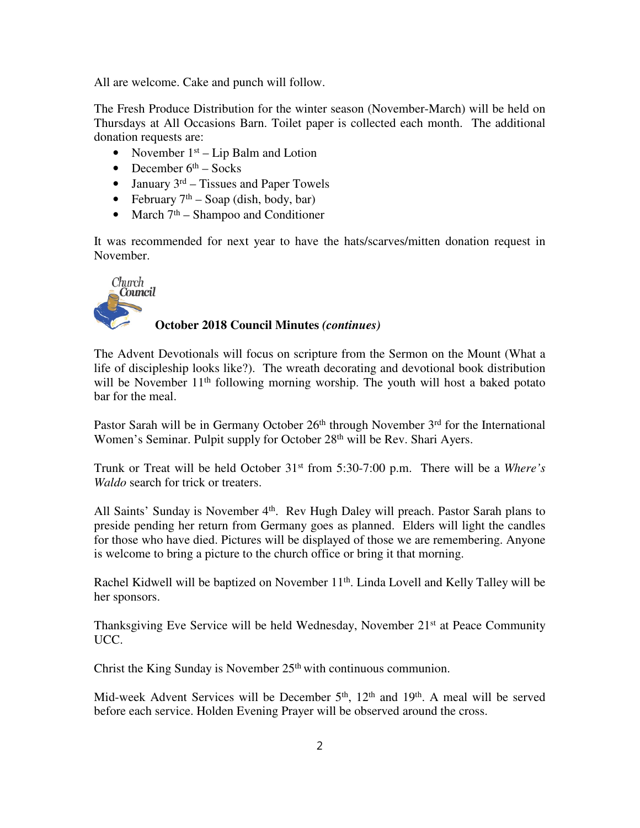All are welcome. Cake and punch will follow.

The Fresh Produce Distribution for the winter season (November-March) will be held on Thursdays at All Occasions Barn. Toilet paper is collected each month. The additional donation requests are:

- November  $1<sup>st</sup> Lip$  Balm and Lotion
- December  $6<sup>th</sup>$  Socks
- January  $3^{rd}$  Tissues and Paper Towels
- February  $7<sup>th</sup>$  Soap (dish, body, bar)
- March  $7<sup>th</sup>$  Shampoo and Conditioner

It was recommended for next year to have the hats/scarves/mitten donation request in November.



## **October 2018 Council Minutes** *(continues)*

The Advent Devotionals will focus on scripture from the Sermon on the Mount (What a life of discipleship looks like?). The wreath decorating and devotional book distribution will be November 11<sup>th</sup> following morning worship. The youth will host a baked potato bar for the meal.

Pastor Sarah will be in Germany October  $26<sup>th</sup>$  through November  $3<sup>rd</sup>$  for the International Women's Seminar. Pulpit supply for October 28<sup>th</sup> will be Rev. Shari Ayers.

Trunk or Treat will be held October 31st from 5:30-7:00 p.m. There will be a *Where's Waldo* search for trick or treaters.

All Saints' Sunday is November 4<sup>th</sup>. Rev Hugh Daley will preach. Pastor Sarah plans to preside pending her return from Germany goes as planned. Elders will light the candles for those who have died. Pictures will be displayed of those we are remembering. Anyone is welcome to bring a picture to the church office or bring it that morning.

Rachel Kidwell will be baptized on November 11<sup>th</sup>. Linda Lovell and Kelly Talley will be her sponsors.

Thanksgiving Eve Service will be held Wednesday, November 21<sup>st</sup> at Peace Community UCC.

Christ the King Sunday is November 25<sup>th</sup> with continuous communion.

Mid-week Advent Services will be December 5<sup>th</sup>, 12<sup>th</sup> and 19<sup>th</sup>. A meal will be served before each service. Holden Evening Prayer will be observed around the cross.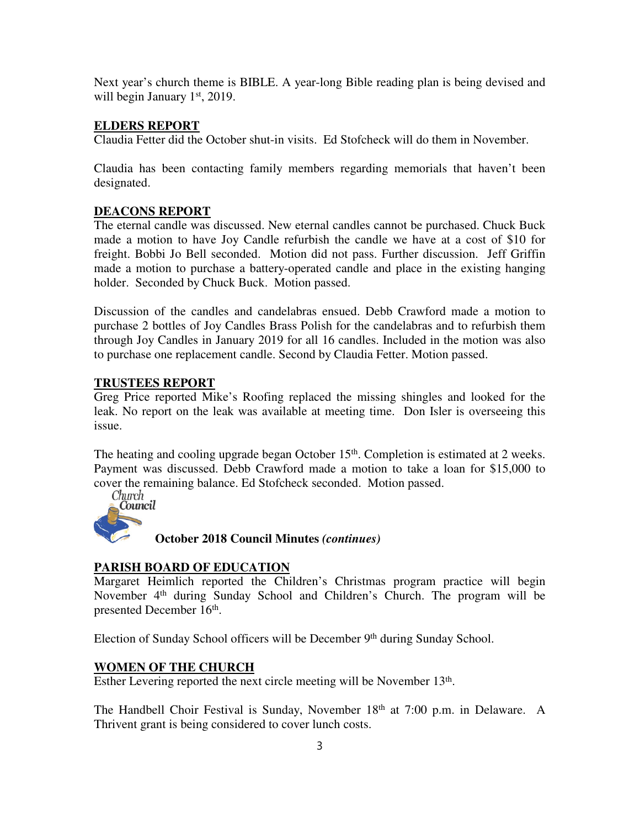Next year's church theme is BIBLE. A year-long Bible reading plan is being devised and will begin January 1<sup>st</sup>, 2019.

### **ELDERS REPORT**

Claudia Fetter did the October shut-in visits. Ed Stofcheck will do them in November.

Claudia has been contacting family members regarding memorials that haven't been designated.

### **DEACONS REPORT**

The eternal candle was discussed. New eternal candles cannot be purchased. Chuck Buck made a motion to have Joy Candle refurbish the candle we have at a cost of \$10 for freight. Bobbi Jo Bell seconded. Motion did not pass. Further discussion. Jeff Griffin made a motion to purchase a battery-operated candle and place in the existing hanging holder. Seconded by Chuck Buck. Motion passed.

Discussion of the candles and candelabras ensued. Debb Crawford made a motion to purchase 2 bottles of Joy Candles Brass Polish for the candelabras and to refurbish them through Joy Candles in January 2019 for all 16 candles. Included in the motion was also to purchase one replacement candle. Second by Claudia Fetter. Motion passed.

### **TRUSTEES REPORT**

Greg Price reported Mike's Roofing replaced the missing shingles and looked for the leak. No report on the leak was available at meeting time. Don Isler is overseeing this issue.

The heating and cooling upgrade began October 15<sup>th</sup>. Completion is estimated at 2 weeks. Payment was discussed. Debb Crawford made a motion to take a loan for \$15,000 to cover the remaining balance. Ed Stofcheck seconded. Motion passed.



**October 2018 Council Minutes** *(continues)*

### **PARISH BOARD OF EDUCATION**

Margaret Heimlich reported the Children's Christmas program practice will begin November 4<sup>th</sup> during Sunday School and Children's Church. The program will be presented December 16<sup>th</sup>.

Election of Sunday School officers will be December 9<sup>th</sup> during Sunday School.

### **WOMEN OF THE CHURCH**

Esther Levering reported the next circle meeting will be November 13<sup>th</sup>.

The Handbell Choir Festival is Sunday, November 18<sup>th</sup> at 7:00 p.m. in Delaware. A Thrivent grant is being considered to cover lunch costs.